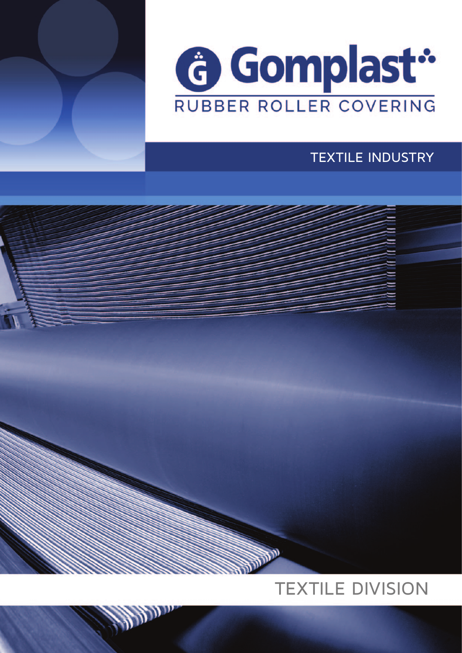



# TEXTILE INDUSTRY